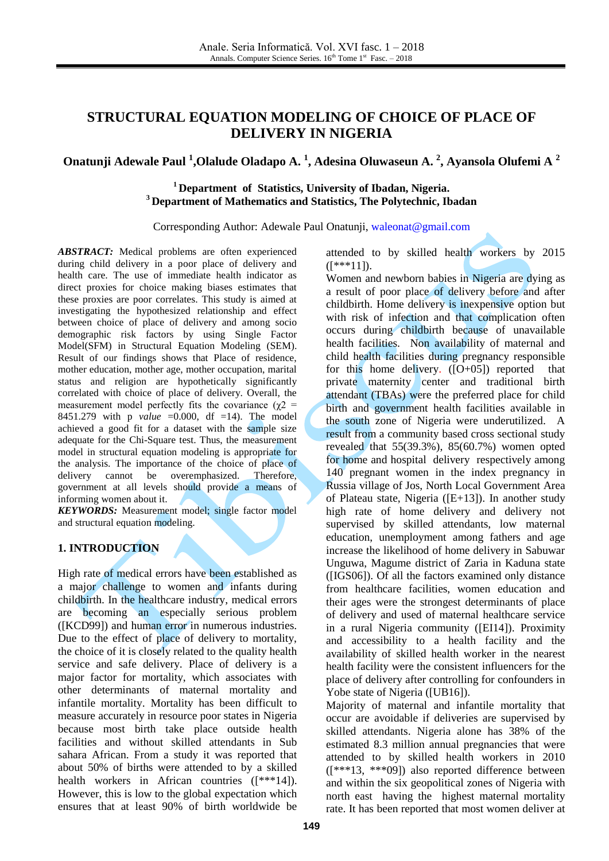# **STRUCTURAL EQUATION MODELING OF CHOICE OF PLACE OF DELIVERY IN NIGERIA**

## **Onatunji Adewale Paul <sup>1</sup> ,Olalude Oladapo A. <sup>1</sup> , Adesina Oluwaseun A. <sup>2</sup> , Ayansola Olufemi A <sup>2</sup>**

## **<sup>1</sup> Department of Statistics, University of Ibadan, Nigeria. <sup>3</sup> Department of Mathematics and Statistics, The Polytechnic, Ibadan**

Corresponding Author: Adewale Paul Onatunji, [waleonat@gmail.com](mailto:waleonat@gmail.com)

*ABSTRACT:* Medical problems are often experienced during child delivery in a poor place of delivery and health care. The use of immediate health indicator as direct proxies for choice making biases estimates that these proxies are poor correlates. This study is aimed at investigating the hypothesized relationship and effect between choice of place of delivery and among socio demographic risk factors by using Single Factor Model(SFM) in Structural Equation Modeling (SEM). Result of our findings shows that Place of residence, mother education, mother age, mother occupation, marital status and religion are hypothetically significantly correlated with choice of place of delivery. Overall, the measurement model perfectly fits the covariance ( $\chi$ 2 = 8451.279 with p *value* =0.000, df =14). The model achieved a good fit for a dataset with the sample size adequate for the Chi-Square test. Thus, the measurement model in structural equation modeling is appropriate for the analysis. The importance of the choice of place of delivery cannot be overemphasized. Therefore, government at all levels should provide a means of informing women about it.

*KEYWORDS:* Measurement model; single factor model and structural equation modeling.

## **1. INTRODUCTION**

High rate of medical errors have been established as a major challenge to women and infants during childbirth. In the healthcare industry, medical errors are becoming an especially serious problem ([KCD99]) and human error in numerous industries. Due to the effect of place of delivery to mortality, the choice of it is closely related to the quality health service and safe delivery. Place of delivery is a major factor for mortality, which associates with other determinants of maternal mortality and infantile mortality. Mortality has been difficult to measure accurately in resource poor states in Nigeria because most birth take place outside health facilities and without skilled attendants in Sub sahara African. From a study it was reported that about 50% of births were attended to by a skilled health workers in African countries ([\*\*\*14]). However, this is low to the global expectation which ensures that at least 90% of birth worldwide be

attended to by skilled health workers by 2015  $(I***11]$ .

Women and newborn babies in Nigeria are dying as a result of poor place of delivery before and after childbirth. Home delivery is inexpensive option but with risk of infection and that complication often occurs during childbirth because of unavailable health facilities. Non availability of maternal and child health facilities during pregnancy responsible for this home delivery.  $([O+05])$  reported that private maternity center and traditional birth attendant (TBAs) were the preferred place for child birth and government health facilities available in the south zone of Nigeria were underutilized. A result from a community based cross sectional study revealed that 55(39.3%), 85(60.7%) women opted for home and hospital delivery respectively among 140 pregnant women in the index pregnancy in Russia village of Jos, North Local Government Area of Plateau state, Nigeria ([E+13]). In another study high rate of home delivery and delivery not supervised by skilled attendants, low maternal education, unemployment among fathers and age increase the likelihood of home delivery in Sabuwar Unguwa, Magume district of Zaria in Kaduna state ([IGS06]). Of all the factors examined only distance from healthcare facilities, women education and their ages were the strongest determinants of place of delivery and used of maternal healthcare service in a rural Nigeria community ([EI14]). Proximity and accessibility to a health facility and the availability of skilled health worker in the nearest health facility were the consistent influencers for the place of delivery after controlling for confounders in Yobe state of Nigeria ([UB16]).

Majority of maternal and infantile mortality that occur are avoidable if deliveries are supervised by skilled attendants. Nigeria alone has 38% of the estimated 8.3 million annual pregnancies that were attended to by skilled health workers in 2010 ([\*\*\*13, \*\*\*09]) also reported difference between and within the six geopolitical zones of Nigeria with north east having the highest maternal mortality rate. It has been reported that most women deliver at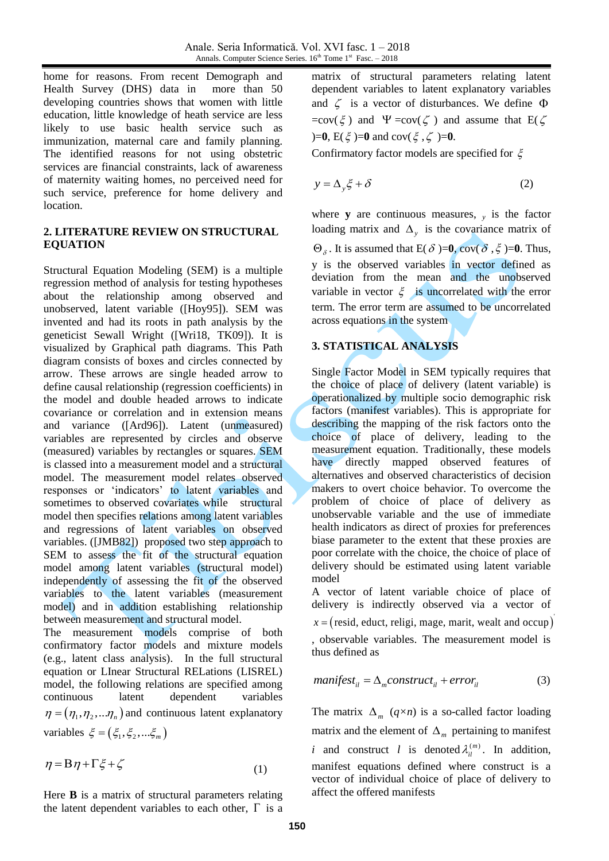home for reasons. From recent Demograph and Health Survey (DHS) data in more than 50 developing countries shows that women with little education, little knowledge of heath service are less likely to use basic health service such as immunization, maternal care and family planning. The identified reasons for not using obstetric services are financial constraints, lack of awareness of maternity waiting homes, no perceived need for such service, preference for home delivery and location.

## **2. LITERATURE REVIEW ON STRUCTURAL EQUATION**

Structural Equation Modeling (SEM) is a multiple regression method of analysis for testing hypotheses about the relationship among observed and unobserved, latent variable ([Hoy95]). SEM was invented and had its roots in path analysis by the geneticist Sewall Wright ([Wri18, TK09]). It is visualized by Graphical path diagrams. This Path diagram consists of boxes and circles connected by arrow. These arrows are single headed arrow to define causal relationship (regression coefficients) in the model and double headed arrows to indicate covariance or correlation and in extension means and variance ([Ard96]). Latent (unmeasured) variables are represented by circles and observe (measured) variables by rectangles or squares. SEM is classed into a measurement model and a structural model. The measurement model relates observed responses or 'indicators' to latent variables and sometimes to observed covariates while structural model then specifies relations among latent variables and regressions of latent variables on observed variables. ([JMB82]) proposed two step approach to SEM to assess the fit of the structural equation model among latent variables (structural model) independently of assessing the fit of the observed variables to the latent variables (measurement model) and in addition establishing relationship between measurement and structural model.

The measurement models comprise of both confirmatory factor models and mixture models (e.g., latent class analysis). In the full structural equation or LInear Structural RELations (LISREL) model, the following relations are specified among continuous latent dependent variables  $\eta = (\eta_1, \eta_2, \ldots, \eta_n)$  and continuous latent explanatory variables  $\xi = (\xi_1, \xi_2, \dots, \xi_m)$ 

$$
\eta = B\eta + \Gamma\xi + \zeta \tag{1}
$$

Here **B** is a matrix of structural parameters relating the latent dependent variables to each other,  $\Gamma$  is a matrix of structural parameters relating latent dependent variables to latent explanatory variables and  $\zeta$  is a vector of disturbances. We define  $\Phi$  $=cov(\xi)$  and  $\Psi = cov(\zeta)$  and assume that  $E(\zeta)$  $)=0, E(\xi) = 0$  and cov $(\xi, \zeta) = 0$ .

Confirmatory factor models are specified for  $\xi$ 

$$
y = \Delta_y \xi + \delta \tag{2}
$$

where **y** are continuous measures,  $y$  is the factor loading matrix and  $\Delta_y$  is the covariance matrix of  $\Theta_{\delta}$ . It is assumed that E( $\delta$ )=**0**, cov( $\delta$ ,  $\xi$ )=**0**. Thus, y is the observed variables in vector defined as deviation from the mean and the unobserved variable in vector  $\xi$  is uncorrelated with the error term. The error term are assumed to be uncorrelated across equations in the system

## **3. STATISTICAL ANALYSIS**

Single Factor Model in SEM typically requires that the choice of place of delivery (latent variable) is operationalized by multiple socio demographic risk factors (manifest variables). This is appropriate for describing the mapping of the risk factors onto the choice of place of delivery, leading to the measurement equation. Traditionally, these models have directly mapped observed features of alternatives and observed characteristics of decision makers to overt choice behavior. To overcome the problem of choice of place of delivery as unobservable variable and the use of immediate health indicators as direct of proxies for preferences biase parameter to the extent that these proxies are poor correlate with the choice, the choice of place of delivery should be estimated using latent variable model

A vector of latent variable choice of place of delivery is indirectly observed via a vector of  $x = ($  resid, educt, religi, mage, marit, wealt and occup) , observable variables. The measurement model is thus defined as

$$
manifest_{il} = \Delta_m construct_{il} + error_{il}
$$
 (3)

The matrix  $\Delta_m$  ( $q \times n$ ) is a so-called factor loading matrix and the element of  $\Delta_m$  pertaining to manifest *i* and construct *l* is denoted  $\lambda_i^{(m)}$ . In addition, manifest equations defined where construct is a vector of individual choice of place of delivery to affect the offered manifests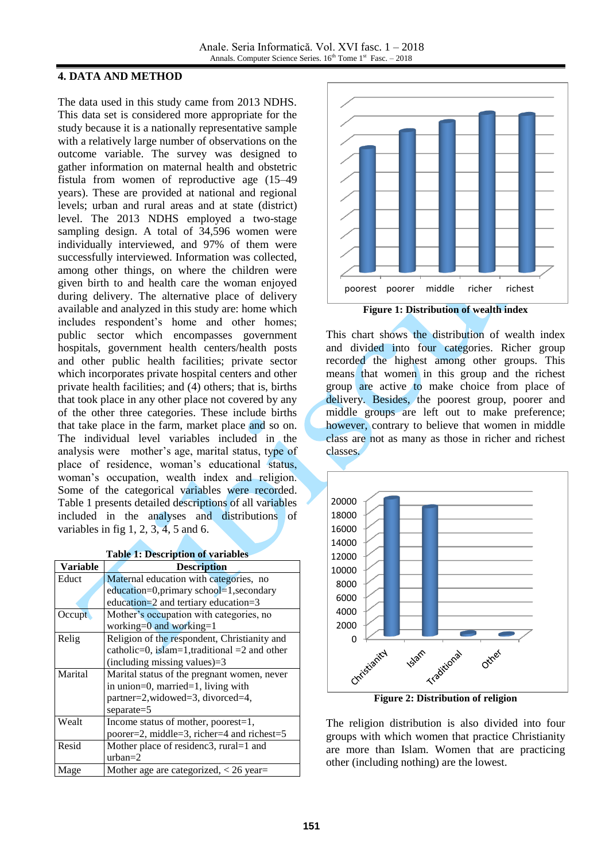#### **4. DATA AND METHOD**

The data used in this study came from 2013 NDHS. This data set is considered more appropriate for the study because it is a nationally representative sample with a relatively large number of observations on the outcome variable. The survey was designed to gather information on maternal health and obstetric fistula from women of reproductive age (15–49 years). These are provided at national and regional levels; urban and rural areas and at state (district) level. The 2013 NDHS employed a two-stage sampling design. A total of 34,596 women were individually interviewed, and 97% of them were successfully interviewed. Information was collected, among other things, on where the children were given birth to and health care the woman enjoyed during delivery. The alternative place of delivery available and analyzed in this study are: home which includes respondent's home and other homes; public sector which encompasses government hospitals, government health centers/health posts and other public health facilities; private sector which incorporates private hospital centers and other private health facilities; and (4) others; that is, births that took place in any other place not covered by any of the other three categories. These include births that take place in the farm, market place and so on. The individual level variables included in the analysis were mother's age, marital status, type of place of residence, woman's educational status, woman's occupation, wealth index and religion. Some of the categorical variables were recorded. Table 1 presents detailed descriptions of all variables included in the analyses and distributions of variables in fig  $1, 2, 3, 4, 5$  and 6.

| rable 1. Description of variables |                                              |  |  |  |  |  |  |
|-----------------------------------|----------------------------------------------|--|--|--|--|--|--|
| <b>Variable</b>                   | <b>Description</b>                           |  |  |  |  |  |  |
| Educt                             | Maternal education with categories, no       |  |  |  |  |  |  |
|                                   | education=0,primary school=1,secondary       |  |  |  |  |  |  |
|                                   | education= $2$ and tertiary education= $3$   |  |  |  |  |  |  |
| Occupt                            | Mother's occupation with categories, no      |  |  |  |  |  |  |
|                                   | working= $0$ and working= $1$                |  |  |  |  |  |  |
| Relig                             | Religion of the respondent, Christianity and |  |  |  |  |  |  |
|                                   | catholic=0, islam=1,traditional =2 and other |  |  |  |  |  |  |
|                                   | (including missing values) $=3$              |  |  |  |  |  |  |
| Marital                           | Marital status of the pregnant women, never  |  |  |  |  |  |  |
|                                   | in union=0, married=1, living with           |  |  |  |  |  |  |
|                                   | partner=2,widowed=3, divorced=4,             |  |  |  |  |  |  |
|                                   | $separate = 5$                               |  |  |  |  |  |  |
| Wealt                             | Income status of mother, poorest=1,          |  |  |  |  |  |  |
|                                   | poorer=2, middle=3, richer=4 and richest=5   |  |  |  |  |  |  |
| Resid                             | Mother place of residenc3, rural=1 and       |  |  |  |  |  |  |
|                                   | $urban=2$                                    |  |  |  |  |  |  |
| Mage                              | Mother age are categorized, $<$ 26 year=     |  |  |  |  |  |  |



This chart shows the distribution of wealth index and divided into four categories. Richer group recorded the highest among other groups. This means that women in this group and the richest group are active to make choice from place of delivery. Besides, the poorest group, poorer and middle groups are left out to make preference; however, contrary to believe that women in middle class are not as many as those in richer and richest classes.



**Figure 2: Distribution of religion**

The religion distribution is also divided into four groups with which women that practice Christianity are more than Islam. Women that are practicing other (including nothing) are the lowest.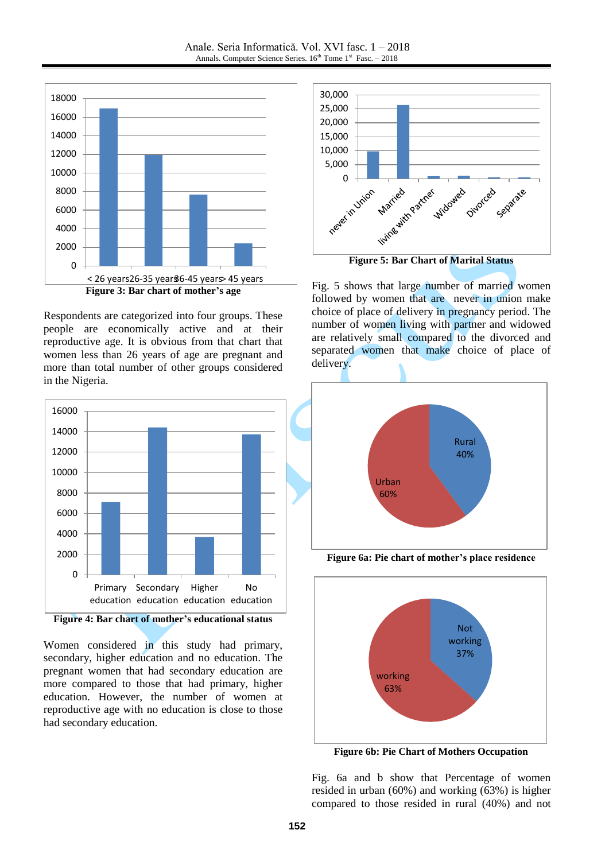J



Respondents are categorized into four groups. These people are economically active and at their reproductive age. It is obvious from that chart that women less than 26 years of age are pregnant and more than total number of other groups considered in the Nigeria.



**Figure 4: Bar chart of mother's educational status**

Women considered in this study had primary, secondary, higher education and no education. The pregnant women that had secondary education are more compared to those that had primary, higher education. However, the number of women at reproductive age with no education is close to those had secondary education.



**Figure 5: Bar Chart of Marital Status**

Fig. 5 shows that large number of married women followed by women that are never in union make choice of place of delivery in pregnancy period. The number of women living with partner and widowed are relatively small compared to the divorced and separated women that make choice of place of delivery.



**Figure 6a: Pie chart of mother's place residence**



**Figure 6b: Pie Chart of Mothers Occupation**

Fig. 6a and b show that Percentage of women resided in urban (60%) and working (63%) is higher compared to those resided in rural (40%) and not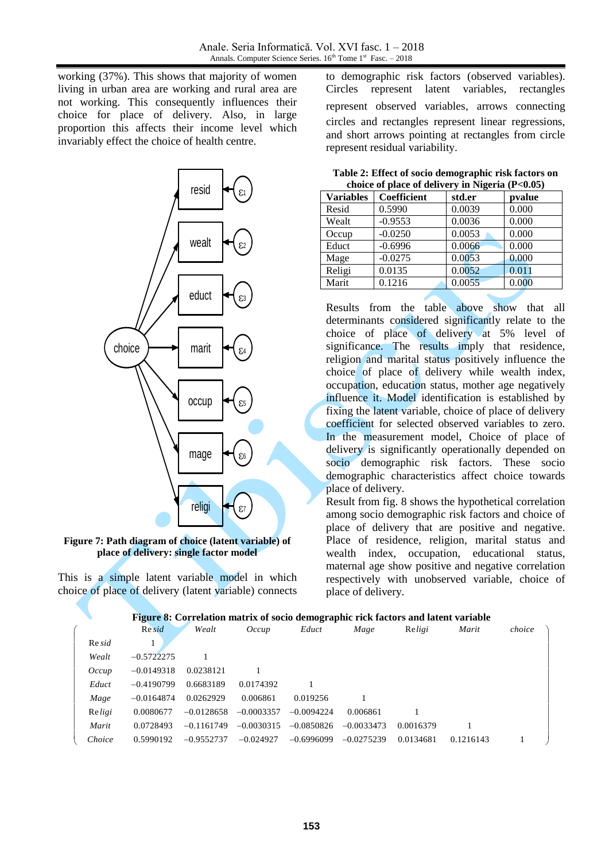working (37%). This shows that majority of women living in urban area are working and rural area are not working. This consequently influences their choice for place of delivery. Also, in large proportion this affects their income level which invariably effect the choice of health centre.



#### **Figure 7: Path diagram of choice (latent variable) of place of delivery: single factor model**

to demographic risk factors (observed variables). Circles represent latent variables, rectangles represent observed variables, arrows connecting circles and rectangles represent linear regressions, and short arrows pointing at rectangles from circle represent residual variability.

| choice of place of activery in Fugeria $(1.5000)$ |             |        |        |  |  |  |
|---------------------------------------------------|-------------|--------|--------|--|--|--|
| <b>Variables</b>                                  | Coefficient | std.er | pvalue |  |  |  |
| Resid                                             | 0.5990      | 0.0039 | 0.000  |  |  |  |
| Wealt                                             | $-0.9553$   | 0.0036 | 0.000  |  |  |  |
| Occup                                             | $-0.0250$   | 0.0053 | 0.000  |  |  |  |
| Educt                                             | $-0.6996$   | 0.0066 | 0.000  |  |  |  |
| Mage                                              | $-0.0275$   | 0.0053 | 0.000  |  |  |  |
| Religi                                            | 0.0135      | 0.0052 | 0.011  |  |  |  |
| Marit                                             | 0.1216      | 0.0055 | 0.000  |  |  |  |
|                                                   |             |        |        |  |  |  |

**Table 2: Effect of socio demographic risk factors on choice of place of delivery in Nigeria (P<0.05)**

Results from the table above show that all determinants considered significantly relate to the choice of place of delivery at 5% level of significance. The results imply that residence, religion and marital status positively influence the choice of place of delivery while wealth index, occupation, education status, mother age negatively influence it. Model identification is established by fixing the latent variable, choice of place of delivery coefficient for selected observed variables to zero. In the measurement model, Choice of place of delivery is significantly operationally depended on socio demographic risk factors. These socio demographic characteristics affect choice towards place of delivery.

Result from fig. 8 shows the hypothetical correlation among socio demographic risk factors and choice of place of delivery that are positive and negative. Place of residence, religion, marital status and wealth index, occupation, educational status, maternal age show positive and negative correlation respectively with unobserved variable, choice of place of delivery.

#### **Figure 8: Correlation matrix of socio demographic rick factors and latent variable**

|        |              |              |              |              | Figure 8: Correlation matrix of socio demographic rick factors and latent variable |           |           |        |
|--------|--------------|--------------|--------------|--------------|------------------------------------------------------------------------------------|-----------|-----------|--------|
|        | $Re$ sid     | Wealt        | Occup        | Educt        | Mage                                                                               | Religi    | Marit     | choice |
| Re sid |              |              |              |              |                                                                                    |           |           |        |
| Wealt  | $-0.5722275$ |              |              |              |                                                                                    |           |           |        |
| Occup  | $-0.0149318$ | 0.0238121    |              |              |                                                                                    |           |           |        |
| Educt  | $-0.4190799$ | 0.6683189    | 0.0174392    |              |                                                                                    |           |           |        |
| Mage   | $-0.0164874$ | 0.0262929    | 0.006861     | 0.019256     |                                                                                    |           |           |        |
| Religi | 0.0080677    | $-0.0128658$ | $-0.0003357$ | $-0.0094224$ | 0.006861                                                                           |           |           |        |
| Marit  | 0.0728493    | $-0.1161749$ | $-0.0030315$ | $-0.0850826$ | $-0.0033473$                                                                       | 0.0016379 |           |        |
| Choice | 0.5990192    | $-0.9552737$ | $-0.024927$  | $-0.6996099$ | $-0.0275239$                                                                       | 0.0134681 | 0.1216143 |        |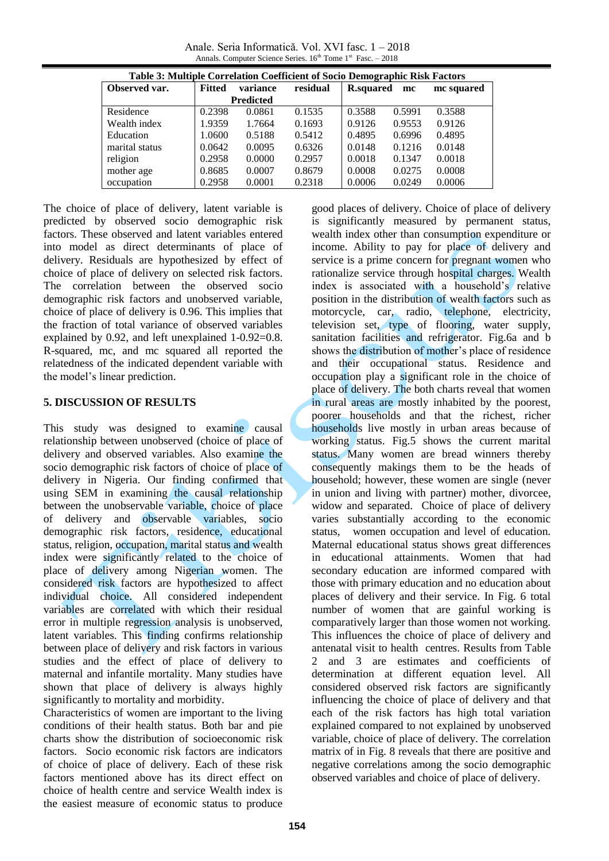Anale. Seria Informatică. Vol. XVI fasc. 1 – 2018 Annals. Computer Science Series.  $16<sup>th</sup>$  Tome  $1<sup>st</sup>$  Fasc.  $-2018$ 

| Table 3: Multiple Correlation Coefficient of Socio Demographic Risk Factors |               |                  |          |                  |        |            |
|-----------------------------------------------------------------------------|---------------|------------------|----------|------------------|--------|------------|
| Observed var.                                                               | <b>Fitted</b> | variance         | residual | <b>R.squared</b> | mc     | mc squared |
|                                                                             |               | <b>Predicted</b> |          |                  |        |            |
| Residence                                                                   | 0.2398        | 0.0861           | 0.1535   | 0.3588           | 0.5991 | 0.3588     |
| Wealth index                                                                | 1.9359        | 1.7664           | 0.1693   | 0.9126           | 0.9553 | 0.9126     |
| Education                                                                   | 1.0600        | 0.5188           | 0.5412   | 0.4895           | 0.6996 | 0.4895     |
| marital status                                                              | 0.0642        | 0.0095           | 0.6326   | 0.0148           | 0.1216 | 0.0148     |
| religion                                                                    | 0.2958        | 0.0000           | 0.2957   | 0.0018           | 0.1347 | 0.0018     |
| mother age                                                                  | 0.8685        | 0.0007           | 0.8679   | 0.0008           | 0.0275 | 0.0008     |
| occupation                                                                  | 0.2958        | 0.0001           | 0.2318   | 0.0006           | 0.0249 | 0.0006     |

The choice of place of delivery, latent variable is predicted by observed socio demographic risk factors. These observed and latent variables entered into model as direct determinants of place of delivery. Residuals are hypothesized by effect of choice of place of delivery on selected risk factors. The correlation between the observed socio demographic risk factors and unobserved variable, choice of place of delivery is 0.96. This implies that the fraction of total variance of observed variables explained by 0.92, and left unexplained 1-0.92=0.8. R-squared, mc, and mc squared all reported the relatedness of the indicated dependent variable with the model's linear prediction.

## **5. DISCUSSION OF RESULTS**

This study was designed to examine causal relationship between unobserved (choice of place of delivery and observed variables. Also examine the socio demographic risk factors of choice of place of delivery in Nigeria. Our finding confirmed that using SEM in examining the causal relationship between the unobservable variable, choice of place of delivery and observable variables, socio demographic risk factors, residence, educational status, religion, occupation, marital status and wealth index were significantly related to the choice of place of delivery among Nigerian women. The considered risk factors are hypothesized to affect individual choice. All considered independent variables are correlated with which their residual error in multiple regression analysis is unobserved, latent variables. This finding confirms relationship between place of delivery and risk factors in various studies and the effect of place of delivery to maternal and infantile mortality. Many studies have shown that place of delivery is always highly significantly to mortality and morbidity.

Characteristics of women are important to the living conditions of their health status. Both bar and pie charts show the distribution of socioeconomic risk factors. Socio economic risk factors are indicators of choice of place of delivery. Each of these risk factors mentioned above has its direct effect on choice of health centre and service Wealth index is the easiest measure of economic status to produce

good places of delivery. Choice of place of delivery is significantly measured by permanent status, wealth index other than consumption expenditure or income. Ability to pay for place of delivery and service is a prime concern for pregnant women who rationalize service through hospital charges. Wealth index is associated with a household's relative position in the distribution of wealth factors such as motorcycle, car, radio, telephone, electricity, television set, type of flooring, water supply, sanitation facilities and refrigerator. Fig.6a and b shows the distribution of mother's place of residence and their occupational status. Residence and occupation play a significant role in the choice of place of delivery. The both charts reveal that women in rural areas are mostly inhabited by the poorest, poorer households and that the richest, richer households live mostly in urban areas because of working status. Fig.5 shows the current marital status. Many women are bread winners thereby consequently makings them to be the heads of household; however, these women are single (never in union and living with partner) mother, divorcee, widow and separated. Choice of place of delivery varies substantially according to the economic status, women occupation and level of education. Maternal educational status shows great differences in educational attainments. Women that had secondary education are informed compared with those with primary education and no education about places of delivery and their service. In Fig. 6 total number of women that are gainful working is comparatively larger than those women not working. This influences the choice of place of delivery and antenatal visit to health centres. Results from Table 2 and 3 are estimates and coefficients of determination at different equation level. All considered observed risk factors are significantly influencing the choice of place of delivery and that each of the risk factors has high total variation explained compared to not explained by unobserved variable, choice of place of delivery. The correlation matrix of in Fig. 8 reveals that there are positive and negative correlations among the socio demographic observed variables and choice of place of delivery.